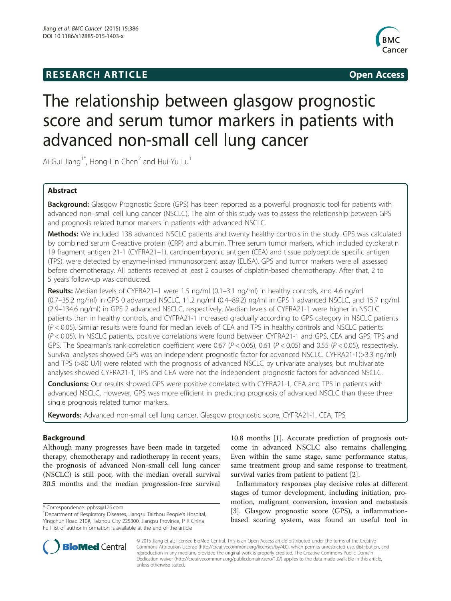# **RESEARCH ARTICLE Example 2014 CONSIDERING CONSIDERING CONSIDERING CONSIDERING CONSIDERING CONSIDERING CONSIDERING CONSIDERING CONSIDERING CONSIDERING CONSIDERING CONSIDERING CONSIDERING CONSIDERING CONSIDERING CONSIDE**



# The relationship between glasgow prognostic score and serum tumor markers in patients with advanced non-small cell lung cancer

Ai-Gui Jiang<sup>1\*</sup>, Hong-Lin Chen<sup>2</sup> and Hui-Yu Lu<sup>1</sup>

# Abstract

Background: Glasgow Prognostic Score (GPS) has been reported as a powerful prognostic tool for patients with advanced non–small cell lung cancer (NSCLC). The aim of this study was to assess the relationship between GPS and prognosis related tumor markers in patients with advanced NSCLC.

Methods: We included 138 advanced NSCLC patients and twenty healthy controls in the study. GPS was calculated by combined serum C-reactive protein (CRP) and albumin. Three serum tumor markers, which included cytokeratin 19 fragment antigen 21-1 (CYFRA21–1), carcinoembryonic antigen (CEA) and tissue polypeptide specific antigen (TPS), were detected by enzyme-linked immunosorbent assay (ELISA). GPS and tumor markers were all assessed before chemotherapy. All patients received at least 2 courses of cisplatin-based chemotherapy. After that, 2 to 5 years follow-up was conducted.

Results: Median levels of CYFRA21-1 were 1.5 ng/ml (0.1-3.1 ng/ml) in healthy controls, and 4.6 ng/ml (0.7–35.2 ng/ml) in GPS 0 advanced NSCLC, 11.2 ng/ml (0.4–89.2) ng/ml in GPS 1 advanced NSCLC, and 15.7 ng/ml (2.9–134.6 ng/ml) in GPS 2 advanced NSCLC, respectively. Median levels of CYFRA21-1 were higher in NSCLC patients than in healthy controls, and CYFRA21-1 increased gradually according to GPS category in NSCLC patients (P < 0.05). Similar results were found for median levels of CEA and TPS in healthy controls and NSCLC patients (P < 0.05). In NSCLC patients, positive correlations were found between CYFRA21-1 and GPS, CEA and GPS, TPS and GPS. The Spearman's rank correlation coefficient were 0.67 ( $P < 0.05$ ), 0.61 ( $P < 0.05$ ) and 0.55 ( $P < 0.05$ ), respectively. Survival analyses showed GPS was an independent prognostic factor for advanced NSCLC. CYFRA21-1(>3.3 ng/ml) and TPS (>80 U/l) were related with the prognosis of advanced NSCLC by univariate analyses, but multivariate analyses showed CYFRA21-1, TPS and CEA were not the independent prognostic factors for advanced NSCLC.

**Conclusions:** Our results showed GPS were positive correlated with CYFRA21-1, CEA and TPS in patients with advanced NSCLC. However, GPS was more efficient in predicting prognosis of advanced NSCLC than these three single prognosis related tumor markers.

Keywords: Advanced non-small cell lung cancer, Glasgow prognostic score, CYFRA21-1, CEA, TPS

# Background

Although many progresses have been made in targeted therapy, chemotherapy and radiotherapy in recent years, the prognosis of advanced Non-small cell lung cancer (NSCLC) is still poor, with the median overall survival 30.5 months and the median progression-free survival

10.8 months [\[1](#page-4-0)]. Accurate prediction of prognosis outcome in advanced NSCLC also remains challenging. Even within the same stage, same performance status, same treatment group and same response to treatment, survival varies from patient to patient [\[2](#page-4-0)].

Inflammatory responses play decisive roles at different stages of tumor development, including initiation, promotion, malignant conversion, invasion and metastasis [[3\]](#page-4-0). Glasgow prognostic score (GPS), a inflammationbased scoring system, was found an useful tool in



© 2015 Jiang et al.; licensee BioMed Central. This is an Open Access article distributed under the terms of the Creative Commons Attribution License [\(http://creativecommons.org/licenses/by/4.0\)](http://creativecommons.org/licenses/by/4.0), which permits unrestricted use, distribution, and reproduction in any medium, provided the original work is properly credited. The Creative Commons Public Domain Dedication waiver [\(http://creativecommons.org/publicdomain/zero/1.0/](http://creativecommons.org/publicdomain/zero/1.0/)) applies to the data made available in this article, unless otherwise stated.

<sup>\*</sup> Correspondence: [pphss@126.com](mailto:pphss@126.com) <sup>1</sup>

<sup>&</sup>lt;sup>1</sup>Department of Respiratory Diseases, Jiangsu Taizhou People's Hospital, Yingchun Road 210#, Taizhou City 225300, Jiangsu Province, P R China Full list of author information is available at the end of the article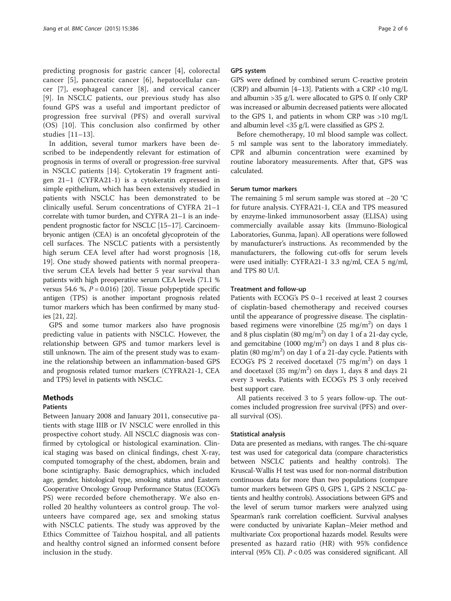predicting prognosis for gastric cancer [[4](#page-4-0)], colorectal cancer [\[5\]](#page-4-0), pancreatic cancer [\[6](#page-4-0)], hepatocellular cancer [\[7](#page-4-0)], esophageal cancer [[8\]](#page-4-0), and cervical cancer [[9](#page-4-0)]. In NSCLC patients, our previous study has also found GPS was a useful and important predictor of progression free survival (PFS) and overall survival (OS) [\[10](#page-4-0)]. This conclusion also confirmed by other studies [[11](#page-5-0)–[13\]](#page-5-0).

In addition, several tumor markers have been described to be independently relevant for estimation of prognosis in terms of overall or progression-free survival in NSCLC patients [\[14](#page-5-0)]. Cytokeratin 19 fragment antigen 21–1 (CYFRA21-1) is a cytokeratin expressed in simple epithelium, which has been extensively studied in patients with NSCLC has been demonstrated to be clinically useful. Serum concentrations of CYFRA 21–1 correlate with tumor burden, and CYFRA 21–1 is an independent prognostic factor for NSCLC [\[15](#page-5-0)–[17](#page-5-0)]. Carcinoembryonic antigen (CEA) is an oncofetal glycoprotein of the cell surfaces. The NSCLC patients with a persistently high serum CEA level after had worst prognosis [\[18](#page-5-0), [19\]](#page-5-0). One study showed patients with normal preoperative serum CEA levels had better 5 year survival than patients with high preoperative serum CEA levels (71.1 % versus 54.6 %,  $P = 0.016$  [\[20\]](#page-5-0). Tissue polypeptide specific antigen (TPS) is another important prognosis related tumor markers which has been confirmed by many studies [[21, 22\]](#page-5-0).

GPS and some tumor markers also have prognosis predicting value in patients with NSCLC. However, the relationship between GPS and tumor markers level is still unknown. The aim of the present study was to examine the relationship between an inflammation-based GPS and prognosis related tumor markers (CYFRA21-1, CEA and TPS) level in patients with NSCLC.

# Methods

# Patients

Between January 2008 and January 2011, consecutive patients with stage IIIB or IV NSCLC were enrolled in this prospective cohort study. All NSCLC diagnosis was confirmed by cytological or histological examination. Clinical staging was based on clinical findings, chest X-ray, computed tomography of the chest, abdomen, brain and bone scintigraphy. Basic demographics, which included age, gender, histological type, smoking status and Eastern Cooperative Oncology Group Performance Status (ECOG's PS) were recorded before chemotherapy. We also enrolled 20 healthy volunteers as control group. The volunteers have compared age, sex and smoking status with NSCLC patients. The study was approved by the Ethics Committee of Taizhou hospital, and all patients and healthy control signed an informed consent before inclusion in the study.

## GPS system

GPS were defined by combined serum C-reactive protein (CRP) and albumin [\[4](#page-4-0)–[13](#page-5-0)]. Patients with a CRP <10 mg/L and albumin >35 g/L were allocated to GPS 0. If only CRP was increased or albumin decreased patients were allocated to the GPS 1, and patients in whom CRP was >10 mg/L and albumin level <35 g/L were classified as GPS 2.

Before chemotherapy, 10 ml blood sample was collect. 5 ml sample was sent to the laboratory immediately. CPR and albumin concentration were examined by routine laboratory measurements. After that, GPS was calculated.

# Serum tumor markers

The remaining 5 ml serum sample was stored at −20 °C for future analysis. CYFRA21-1, CEA and TPS measured by enzyme-linked immunosorbent assay (ELISA) using commercially available assay kits (Immuno-Biological Laboratories, Gunma, Japan). All operations were followed by manufacturer's instructions. As recommended by the manufacturers, the following cut-offs for serum levels were used initially: CYFRA21-1 3.3 ng/ml, CEA 5 ng/ml, and TPS 80 U/l.

# Treatment and follow-up

Patients with ECOG's PS 0–1 received at least 2 courses of cisplatin-based chemotherapy and received courses until the appearance of progressive disease. The cisplatinbased regimens were vinorelbine  $(25 \text{ mg/m}^2)$  on days 1 and 8 plus cisplatin (80 mg/m<sup>2</sup>) on day 1 of a 21-day cycle, and gemcitabine  $(1000 \text{ mg/m}^2)$  on days 1 and 8 plus cisplatin (80 mg/m<sup>2</sup>) on day 1 of a 21-day cycle. Patients with ECOG's PS 2 received docetaxel (75 mg/m<sup>2</sup>) on days 1 and docetaxel  $(35 \text{ mg/m}^2)$  on days 1, days 8 and days 21 every 3 weeks. Patients with ECOG's PS 3 only received best support care.

All patients received 3 to 5 years follow-up. The outcomes included progression free survival (PFS) and overall survival (OS).

# Statistical analysis

Data are presented as medians, with ranges. The chi-square test was used for categorical data (compare characteristics between NSCLC patients and healthy controls). The Kruscal-Wallis H test was used for non-normal distribution continuous data for more than two populations (compare tumor markers between GPS 0, GPS 1, GPS 2 NSCLC patients and healthy controls). Associations between GPS and the level of serum tumor markers were analyzed using Spearman's rank correlation coefficient. Survival analyses were conducted by univariate Kaplan–Meier method and multivariate Cox proportional hazards model. Results were presented as hazard ratio (HR) with 95% confidence interval (95% CI). P < 0.05 was considered significant. All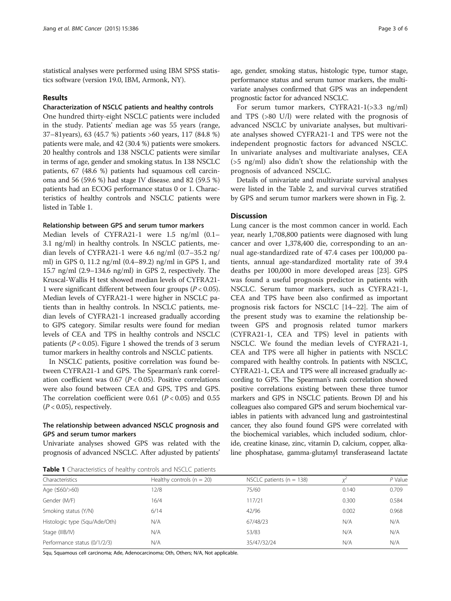statistical analyses were performed using IBM SPSS statistics software (version 19.0, IBM, Armonk, NY).

# Results

# Characterization of NSCLC patients and healthy controls

One hundred thirty-eight NSCLC patients were included in the study. Patients' median age was 55 years (range, 37–81years), 63 (45.7 %) patients >60 years, 117 (84.8 %) patients were male, and 42 (30.4 %) patients were smokers. 20 healthy controls and 138 NSCLC patients were similar in terms of age, gender and smoking status. In 138 NSCLC patients, 67 (48.6 %) patients had squamous cell carcinoma and 56 (59.6 %) had stage IV disease. and 82 (59.5 %) patients had an ECOG performance status 0 or 1. Characteristics of healthy controls and NSCLC patients were listed in Table 1.

#### Relationship between GPS and serum tumor markers

Median levels of CYFRA21-1 were 1.5 ng/ml (0.1– 3.1 ng/ml) in healthy controls. In NSCLC patients, median levels of CYFRA21-1 were 4.6 ng/ml (0.7–35.2 ng/ ml) in GPS 0, 11.2 ng/ml (0.4–89.2) ng/ml in GPS 1, and 15.7 ng/ml (2.9–134.6 ng/ml) in GPS 2, respectively. The Kruscal-Wallis H test showed median levels of CYFRA21- 1 were significant different between four groups ( $P < 0.05$ ). Median levels of CYFRA21-1 were higher in NSCLC patients than in healthy controls. In NSCLC patients, median levels of CYFRA21-1 increased gradually according to GPS category. Similar results were found for median levels of CEA and TPS in healthy controls and NSCLC patients ( $P < 0.05$ ). Figure [1](#page-3-0) showed the trends of 3 serum tumor markers in healthy controls and NSCLC patients.

In NSCLC patients, positive correlation was found between CYFRA21-1 and GPS. The Spearman's rank correlation coefficient was 0.67 ( $P < 0.05$ ). Positive correlations were also found between CEA and GPS, TPS and GPS. The correlation coefficient were 0.61 ( $P < 0.05$ ) and 0.55  $(P < 0.05)$ , respectively.

# The relationship between advanced NSCLC prognosis and GPS and serum tumor markers

Univariate analyses showed GPS was related with the prognosis of advanced NSCLC. After adjusted by patients'

Table 1 Characteristics of healthy controls and NSCLC patients

age, gender, smoking status, histologic type, tumor stage, performance status and serum tumor markers, the multivariate analyses confirmed that GPS was an independent prognostic factor for advanced NSCLC.

For serum tumor markers, CYFRA21-1(>3.3 ng/ml) and TPS (>80 U/l) were related with the prognosis of advanced NSCLC by univariate analyses, but multivariate analyses showed CYFRA21-1 and TPS were not the independent prognostic factors for advanced NSCLC. In univariate analyses and multivariate analyses, CEA (>5 ng/ml) also didn't show the relationship with the prognosis of advanced NSCLC.

Details of univariate and multivariate survival analyses were listed in the Table [2](#page-3-0), and survival curves stratified by GPS and serum tumor markers were shown in Fig. [2.](#page-4-0)

# **Discussion**

Lung cancer is the most common cancer in world. Each year, nearly 1,708,800 patients were diagnosed with lung cancer and over 1,378,400 die, corresponding to an annual age-standardized rate of 47.4 cases per 100,000 patients, annual age-standardized mortality rate of 39.4 deaths per 100,000 in more developed areas [\[23](#page-5-0)]. GPS was found a useful prognosis predictor in patients with NSCLC. Serum tumor markers, such as CYFRA21-1, CEA and TPS have been also confirmed as important prognosis risk factors for NSCLC [\[14](#page-5-0)–[22\]](#page-5-0). The aim of the present study was to examine the relationship between GPS and prognosis related tumor markers (CYFRA21-1, CEA and TPS) level in patients with NSCLC. We found the median levels of CYFRA21-1, CEA and TPS were all higher in patients with NSCLC compared with healthy controls. In patients with NSCLC, CYFRA21-1, CEA and TPS were all increased gradually according to GPS. The Spearman's rank correlation showed positive correlations existing between these three tumor markers and GPS in NSCLC patients. Brown DJ and his colleagues also compared GPS and serum biochemical variables in patients with advanced lung and gastrointestinal cancer, they also found found GPS were correlated with the biochemical variables, which included sodium, chloride, creatine kinase, zinc, vitamin D, calcium, copper, alkaline phosphatase, gamma-glutamyl transferaseand lactate

| Characteristics               | Healthy controls ( $n = 20$ ) | NSCLC patients ( $n = 138$ ) |       | $P$ Value |  |
|-------------------------------|-------------------------------|------------------------------|-------|-----------|--|
| Age $(560/>60)$               | .2/8                          | 75/60                        | 0.140 | 0.709     |  |
| Gender (M/F)                  | 16/4                          | 117/21                       | 0.300 | 0.584     |  |
| Smoking status (Y/N)          | 6/14                          |                              | 0.002 | 0.968     |  |
| Histologic type (Squ/Ade/Oth) | N/A                           | 67/48/23                     | N/A   | N/A       |  |
| N/A<br>Stage (IIIB/IV)        |                               | 53/83                        | N/A   | N/A       |  |
| Performance status (0/1/2/3)  | N/A                           | 35/47/32/24                  | N/A   | N/A       |  |

Squ, Squamous cell carcinoma; Ade, Adenocarcinoma; Oth, Others; N/A, Not applicable.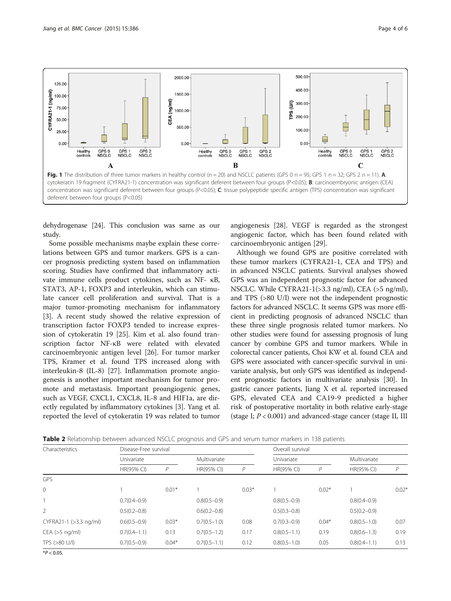<span id="page-3-0"></span>

dehydrogenase [\[24\]](#page-5-0). This conclusion was same as our study.

Some possible mechanisms maybe explain these correlations between GPS and tumor markers. GPS is a cancer prognosis predicting system based on inflammation scoring. Studies have confirmed that inflammatory activate immune cells product cytokines, such as NF- κB, STAT3, AP-1, FOXP3 and interleukin, which can stimulate cancer cell proliferation and survival. That is a major tumor-promoting mechanism for inflammatory [[3\]](#page-4-0). A recent study showed the relative expression of transcription factor FOXP3 tended to increase expression of cytokeratin 19 [[25](#page-5-0)]. Kim et al. also found transcription factor NF-κB were related with elevated carcinoembryonic antigen level [\[26](#page-5-0)]. For tumor marker TPS, Kramer et al. found TPS increased along with interleukin-8 (IL-8) [[27](#page-5-0)]. Inflammation promote angiogenesis is another important mechanism for tumor promote and metastasis. Important proangiogenic genes, such as VEGF, CXCL1, CXCL8, IL-8 and HIF1a, are directly regulated by inflammatory cytokines [[3](#page-4-0)]. Yang et al. reported the level of cytokeratin 19 was related to tumor

angiogenesis [[28\]](#page-5-0). VEGF is regarded as the strongest angiogenic factor, which has been found related with carcinoembryonic antigen [\[29\]](#page-5-0).

Although we found GPS are positive correlated with these tumor markers (CYFRA21-1, CEA and TPS) and in advanced NSCLC patients. Survival analyses showed GPS was an independent prognostic factor for advanced NSCLC. While CYFRA21-1(>3.3 ng/ml), CEA (>5 ng/ml), and TPS (>80 U/l) were not the independent prognostic factors for advanced NSCLC. It seems GPS was more efficient in predicting prognosis of advanced NSCLC than these three single prognosis related tumor markers. No other studies were found for assessing prognosis of lung cancer by combine GPS and tumor markers. While in colorectal cancer patients, Choi KW et al. found CEA and GPS were associated with cancer-specific survival in univariate analysis, but only GPS was identified as independent prognostic factors in multivariate analysis [[30](#page-5-0)]. In gastric cancer patients, Jiang X et al. reported increased GPS, elevated CEA and CA19-9 predicted a higher risk of postoperative mortality in both relative early-stage (stage I;  $P < 0.001$ ) and advanced-stage cancer (stage II, III

Table 2 Relationship between advanced NSCLC prognosis and GPS and serum tumor markers in 138 patients

| Characteristics        | Disease-Free survival |         |                  |         | Overall survival |         |                  |         |
|------------------------|-----------------------|---------|------------------|---------|------------------|---------|------------------|---------|
|                        | Univariate            |         | Multivariate     |         | Univariate       |         | Multivariate     |         |
|                        | HR(95% CI)            | P       | HR(95% CI)       | P       | HR(95% CI)       | Р       | HR(95% CI)       | P       |
| GPS                    |                       |         |                  |         |                  |         |                  |         |
| $\mathbf{0}$           |                       | $0.01*$ |                  | $0.03*$ |                  | $0.02*$ |                  | $0.02*$ |
|                        | $0.7(0.4 - 0.9)$      |         | $0.8(0.5-0.9)$   |         | $0.8(0.5-0.9)$   |         | $0.8(0.4 - 0.9)$ |         |
| 2                      | $0.5(0.2 - 0.8)$      |         | $0.6(0.2 - 0.8)$ |         | $0.5(0.3 - 0.8)$ |         | $0.5(0.2 - 0.9)$ |         |
| CYFRA21-1 (>3.3 ng/ml) | $0.6(0.5-0.9)$        | $0.03*$ | $0.7(0.5-1.0)$   | 0.08    | $0.7(0.3 - 0.9)$ | $0.04*$ | $0.8(0.5 - 1.0)$ | 0.07    |
| CEA (>5 ng/ml)         | $0.7(0.4 - 1.1)$      | 0.13    | $0.7(0.5-1.2)$   | 0.17    | $0.8(0.5-1.1)$   | 0.19    | $0.8(0.6 - 1.3)$ | 0.19    |
| TPS (>80 U/l)          | $0.7(0.5-0.9)$        | $0.04*$ | $0.7(0.5-1.1)$   | 0.12    | $0.8(0.5-1.0)$   | 0.05    | $0.8(0.4 - 1.1)$ | 0.13    |

 $*P < 0.05$ .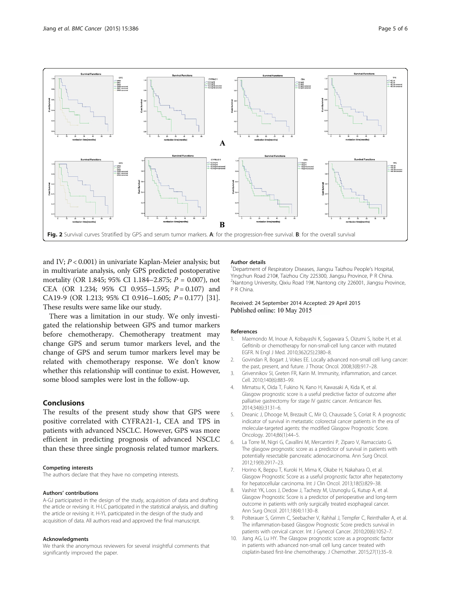<span id="page-4-0"></span>

and IV;  $P < 0.001$ ) in univariate Kaplan-Meier analysis; but in multivariate analysis, only GPS predicted postoperative mortality (OR 1.845; 95% CI 1.184–2.875;  $P = 0.007$ ), not CEA (OR 1.234; 95% CI 0.955-1.595;  $P = 0.107$ ) and CA19-9 (OR 1.213; 95% CI 0.916-1.605;  $P = 0.177$ ) [[31](#page-5-0)]. These results were same like our study.

There was a limitation in our study. We only investigated the relationship between GPS and tumor markers before chemotherapy. Chemotherapy treatment may change GPS and serum tumor markers level, and the change of GPS and serum tumor markers level may be related with chemotherapy response. We don't know whether this relationship will continue to exist. However, some blood samples were lost in the follow-up.

# Conclusions

The results of the present study show that GPS were positive correlated with CYFRA21-1, CEA and TPS in patients with advanced NSCLC. However, GPS was more efficient in predicting prognosis of advanced NSCLC than these three single prognosis related tumor markers.

#### Competing interests

The authors declare that they have no competing interests.

#### Authors' contributions

A-GJ participated in the design of the study, acquisition of data and drafting the article or revising it. H-LC participated in the statistical analysis, and drafting the article or revising it. H-YL participated in the design of the study and acquisition of data. All authors read and approved the final manuscript.

#### Acknowledgments

We thank the anonymous reviewers for several insightful comments that significantly improved the paper.

#### Author details

<sup>1</sup>Department of Respiratory Diseases, Jiangsu Taizhou People's Hospital, Yingchun Road 210#, Taizhou City 225300, Jiangsu Province, P R China. <sup>2</sup>Nantong University, Qixiu Road 19#, Nantong city 226001, Jiangsu Province, P R China.

## Received: 24 September 2014 Accepted: 29 April 2015 Published online: 10 May 2015

#### References

- 1. Maemondo M, Inoue A, Kobayashi K, Sugawara S, Oizumi S, Isobe H, et al. Gefitinib or chemotherapy for non-small-cell lung cancer with mutated EGFR. N Engl J Med. 2010;362(25):2380–8.
- 2. Govindan R, Bogart J, Vokes EE. Locally advanced non-small cell lung cancer: the past, present, and future. J Thorac Oncol. 2008;3(8):917–28.
- 3. Grivennikov SI, Greten FR, Karin M. Immunity, inflammation, and cancer. Cell. 2010;140(6):883–99.
- 4. Mimatsu K, Oida T, Fukino N, Kano H, Kawasaki A, Kida K, et al. Glasgow prognostic score is a useful predictive factor of outcome after palliative gastrectomy for stage IV gastric cancer. Anticancer Res. 2014;34(6):3131–6.
- 5. Dreanic J, Dhooge M, Brezault C, Mir O, Chaussade S, Coriat R. A prognostic indicator of survival in metastatic colorectal cancer patients in the era of molecular-targeted agents: the modified Glasgow Prognostic Score. Oncology. 2014;86(1):44–5.
- 6. La Torre M, Nigri G, Cavallini M, Mercantini P, Ziparo V, Ramacciato G. The glasgow prognostic score as a predictor of survival in patients with potentially resectable pancreatic adenocarcinoma. Ann Surg Oncol. 2012;19(9):2917–23.
- 7. Horino K, Beppu T, Kuroki H, Mima K, Okabe H, Nakahara O, et al. Glasgow Prognostic Score as a useful prognostic factor after hepatectomy for hepatocellular carcinoma. Int J Clin Oncol. 2013;18(5):829–38.
- 8. Vashist YK, Loos J, Dedow J, Tachezy M, Uzunoglu G, Kutup A, et al. Glasgow Prognostic Score is a predictor of perioperative and long-term outcome in patients with only surgically treated esophageal cancer. Ann Surg Oncol. 2011;18(4):1130–8.
- 9. Polterauer S, Grimm C, Seebacher V, Rahhal J, Tempfer C, Reinthaller A, et al. The inflammation-based Glasgow Prognostic Score predicts survival in patients with cervical cancer. Int J Gynecol Cancer. 2010;20(6):1052–7.
- 10. Jiang AG, Lu HY. The Glasgow prognostic score as a prognostic factor in patients with advanced non-small cell lung cancer treated with cisplatin-based first-line chemotherapy. J Chemother. 2015;27(1):35–9.